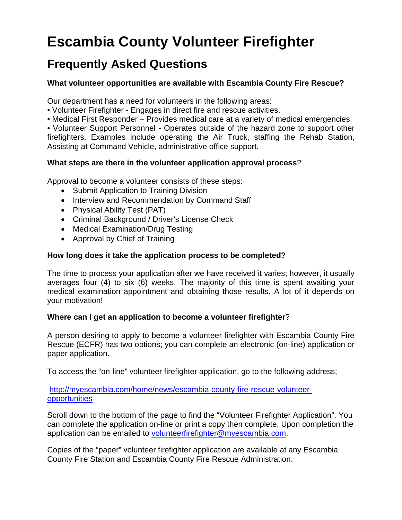# **Escambia County Volunteer Firefighter**

# **Frequently Asked Questions**

# **What volunteer opportunities are available with Escambia County Fire Rescue?**

Our department has a need for volunteers in the following areas:

- Volunteer Firefighter Engages in direct fire and rescue activities.
- Medical First Responder Provides medical care at a variety of medical emergencies.

• Volunteer Support Personnel - Operates outside of the hazard zone to support other firefighters. Examples include operating the Air Truck, staffing the Rehab Station, Assisting at Command Vehicle, administrative office support.

# **What steps are there in the volunteer application approval process**?

Approval to become a volunteer consists of these steps:

- Submit Application to Training Division
- Interview and Recommendation by Command Staff
- Physical Ability Test (PAT)
- Criminal Background / Driver's License Check
- Medical Examination/Drug Testing
- Approval by Chief of Training

# **How long does it take the application process to be completed?**

The time to process your application after we have received it varies; however, it usually averages four (4) to six (6) weeks. The majority of this time is spent awaiting your medical examination appointment and obtaining those results. A lot of it depends on your motivation!

# **Where can I get an application to become a volunteer firefighter**?

A person desiring to apply to become a volunteer firefighter with Escambia County Fire Rescue (ECFR) has two options; you can complete an electronic (on-line) application or paper application.

To access the "on-line" volunteer firefighter application, go to the following address;

# [http://myescambia.com/home/news/escambia-county-fire-rescue-volunteer](http://myescambia.com/home/news/escambia-county-fire-rescue-volunteer-opportunities)[opportunities](http://myescambia.com/home/news/escambia-county-fire-rescue-volunteer-opportunities)

Scroll down to the bottom of the page to find the "Volunteer Firefighter Application". You can complete the application on-line or print a copy then complete. Upon completion the application can be emailed to [volunteerfirefighter@myescambia.com.](mailto:volunteerfirefighter@myescambia.com)

Copies of the "paper" volunteer firefighter application are available at any Escambia County Fire Station and Escambia County Fire Rescue Administration.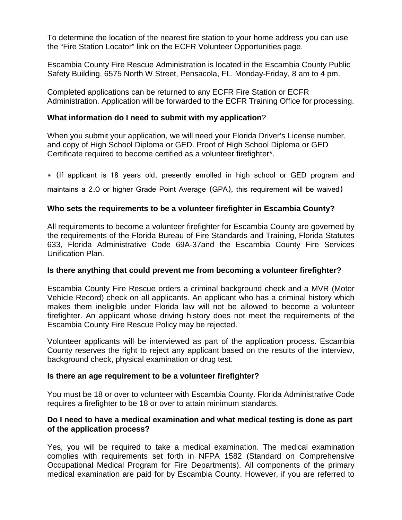To determine the location of the nearest fire station to your home address you can use the "Fire Station Locator" link on the ECFR Volunteer Opportunities page.

Escambia County Fire Rescue Administration is located in the Escambia County Public Safety Building, 6575 North W Street, Pensacola, FL. Monday-Friday, 8 am to 4 pm.

Completed applications can be returned to any ECFR Fire Station or ECFR Administration. Application will be forwarded to the ECFR Training Office for processing.

# **What information do I need to submit with my application**?

When you submit your application, we will need your Florida Driver's License number, and copy of High School Diploma or GED. Proof of High School Diploma or GED Certificate required to become certified as a volunteer firefighter\*.

\* (If applicant is 18 years old, presently enrolled in high school or GED program and

maintains a 2.0 or higher Grade Point Average (GPA), this requirement will be waived)

# **Who sets the requirements to be a volunteer firefighter in Escambia County?**

All requirements to become a volunteer firefighter for Escambia County are governed by the requirements of the Florida Bureau of Fire Standards and Training, Florida Statutes 633, Florida Administrative Code 69A-37and the Escambia County Fire Services Unification Plan.

# **Is there anything that could prevent me from becoming a volunteer firefighter?**

Escambia County Fire Rescue orders a criminal background check and a MVR (Motor Vehicle Record) check on all applicants. An applicant who has a criminal history which makes them ineligible under Florida law will not be allowed to become a volunteer firefighter. An applicant whose driving history does not meet the requirements of the Escambia County Fire Rescue Policy may be rejected.

Volunteer applicants will be interviewed as part of the application process. Escambia County reserves the right to reject any applicant based on the results of the interview, background check, physical examination or drug test.

# **Is there an age requirement to be a volunteer firefighter?**

You must be 18 or over to volunteer with Escambia County. Florida Administrative Code requires a firefighter to be 18 or over to attain minimum standards.

# **Do I need to have a medical examination and what medical testing is done as part of the application process?**

Yes, you will be required to take a medical examination. The medical examination complies with requirements set forth in NFPA 1582 (Standard on Comprehensive Occupational Medical Program for Fire Departments). All components of the primary medical examination are paid for by Escambia County. However, if you are referred to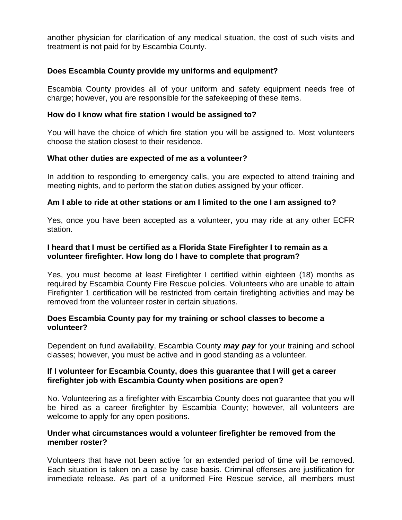another physician for clarification of any medical situation, the cost of such visits and treatment is not paid for by Escambia County.

# **Does Escambia County provide my uniforms and equipment?**

Escambia County provides all of your uniform and safety equipment needs free of charge; however, you are responsible for the safekeeping of these items.

#### **How do I know what fire station I would be assigned to?**

You will have the choice of which fire station you will be assigned to. Most volunteers choose the station closest to their residence.

#### **What other duties are expected of me as a volunteer?**

In addition to responding to emergency calls, you are expected to attend training and meeting nights, and to perform the station duties assigned by your officer.

#### **Am I able to ride at other stations or am I limited to the one I am assigned to?**

Yes, once you have been accepted as a volunteer, you may ride at any other ECFR station.

#### **I heard that I must be certified as a Florida State Firefighter I to remain as a volunteer firefighter. How long do I have to complete that program?**

Yes, you must become at least Firefighter I certified within eighteen (18) months as required by Escambia County Fire Rescue policies. Volunteers who are unable to attain Firefighter 1 certification will be restricted from certain firefighting activities and may be removed from the volunteer roster in certain situations.

#### **Does Escambia County pay for my training or school classes to become a volunteer?**

Dependent on fund availability, Escambia County *may pay* for your training and school classes; however, you must be active and in good standing as a volunteer.

#### **If I volunteer for Escambia County, does this guarantee that I will get a career firefighter job with Escambia County when positions are open?**

No. Volunteering as a firefighter with Escambia County does not guarantee that you will be hired as a career firefighter by Escambia County; however, all volunteers are welcome to apply for any open positions.

#### **Under what circumstances would a volunteer firefighter be removed from the member roster?**

Volunteers that have not been active for an extended period of time will be removed. Each situation is taken on a case by case basis. Criminal offenses are justification for immediate release. As part of a uniformed Fire Rescue service, all members must